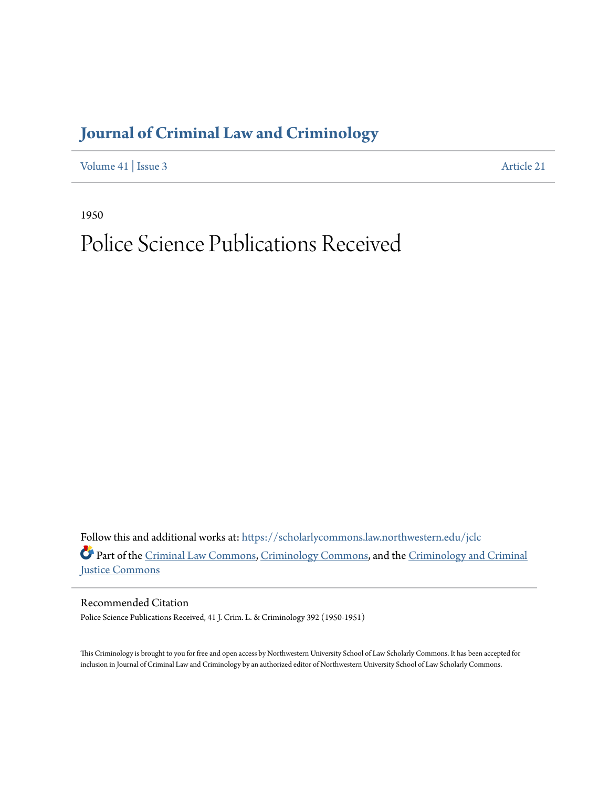## **[Journal of Criminal Law and Criminology](https://scholarlycommons.law.northwestern.edu/jclc?utm_source=scholarlycommons.law.northwestern.edu%2Fjclc%2Fvol41%2Fiss3%2F21&utm_medium=PDF&utm_campaign=PDFCoverPages)**

[Volume 41](https://scholarlycommons.law.northwestern.edu/jclc/vol41?utm_source=scholarlycommons.law.northwestern.edu%2Fjclc%2Fvol41%2Fiss3%2F21&utm_medium=PDF&utm_campaign=PDFCoverPages) | [Issue 3](https://scholarlycommons.law.northwestern.edu/jclc/vol41/iss3?utm_source=scholarlycommons.law.northwestern.edu%2Fjclc%2Fvol41%2Fiss3%2F21&utm_medium=PDF&utm_campaign=PDFCoverPages) [Article 21](https://scholarlycommons.law.northwestern.edu/jclc/vol41/iss3/21?utm_source=scholarlycommons.law.northwestern.edu%2Fjclc%2Fvol41%2Fiss3%2F21&utm_medium=PDF&utm_campaign=PDFCoverPages)

1950

## Police Science Publications Received

Follow this and additional works at: [https://scholarlycommons.law.northwestern.edu/jclc](https://scholarlycommons.law.northwestern.edu/jclc?utm_source=scholarlycommons.law.northwestern.edu%2Fjclc%2Fvol41%2Fiss3%2F21&utm_medium=PDF&utm_campaign=PDFCoverPages) Part of the [Criminal Law Commons](http://network.bepress.com/hgg/discipline/912?utm_source=scholarlycommons.law.northwestern.edu%2Fjclc%2Fvol41%2Fiss3%2F21&utm_medium=PDF&utm_campaign=PDFCoverPages), [Criminology Commons](http://network.bepress.com/hgg/discipline/417?utm_source=scholarlycommons.law.northwestern.edu%2Fjclc%2Fvol41%2Fiss3%2F21&utm_medium=PDF&utm_campaign=PDFCoverPages), and the [Criminology and Criminal](http://network.bepress.com/hgg/discipline/367?utm_source=scholarlycommons.law.northwestern.edu%2Fjclc%2Fvol41%2Fiss3%2F21&utm_medium=PDF&utm_campaign=PDFCoverPages) [Justice Commons](http://network.bepress.com/hgg/discipline/367?utm_source=scholarlycommons.law.northwestern.edu%2Fjclc%2Fvol41%2Fiss3%2F21&utm_medium=PDF&utm_campaign=PDFCoverPages)

Recommended Citation Police Science Publications Received, 41 J. Crim. L. & Criminology 392 (1950-1951)

This Criminology is brought to you for free and open access by Northwestern University School of Law Scholarly Commons. It has been accepted for inclusion in Journal of Criminal Law and Criminology by an authorized editor of Northwestern University School of Law Scholarly Commons.